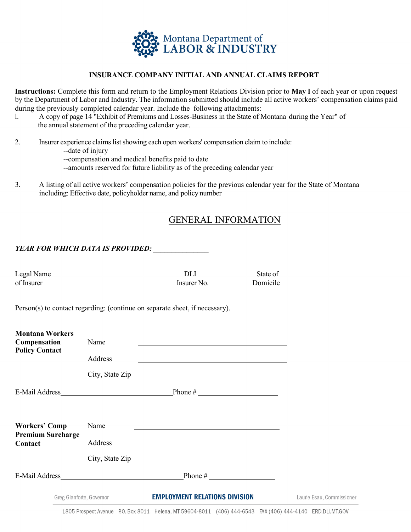

### **INSURANCE COMPANY INITIAL AND ANNUAL CLAIMS REPORT**

**Instructions:** Complete this form and return to the Employment Relations Division prior to **May l** of each year or upon request by the Department of Labor and Industry. The information submitted should include all active workers' compensation claims paid during the previously completed calendar year. Include the following attachments:

- l. A copy of page 14 "Exhibit of Premiums and Losses-Business in the State of Montana during the Year" of the annual statement of the preceding calendar year.
- 2. Insurer experience claims listshowing each open workers' compensation claim to include:
	- --date of injury
	- --compensation and medical benefits paid to date
	- --amounts reserved for future liability as of the preceding calendar year
- 3. A listing of all active workers' compensation policies for the previous calendar year for the State of Montana including: Effective date, policyholder name, and policy number

# GENERAL INFORMATION

#### *YEAR FOR WHICH DATA IS PROVIDED:*

| Legal Name | ור          | State of |  |
|------------|-------------|----------|--|
| of Insurer | Insurer No. | Domicile |  |

Person(s) to contact regarding: (continue on separate sheet, if necessary).

| <b>Montana Workers</b><br><b>Compensation</b> | Name    |                                      |                           |
|-----------------------------------------------|---------|--------------------------------------|---------------------------|
| <b>Policy Contact</b>                         | Address |                                      |                           |
|                                               |         | City, State Zip                      |                           |
|                                               |         |                                      |                           |
|                                               |         |                                      |                           |
| <b>Workers' Comp</b>                          | Name    |                                      |                           |
| <b>Premium Surcharge</b><br>Contact           | Address |                                      |                           |
|                                               |         | City, State Zip                      |                           |
| E-Mail Address <b>E-Mail Address</b>          |         |                                      |                           |
| Greg Gianforte, Governor                      |         | <b>EMPLOYMENT RELATIONS DIVISION</b> | Laurie Esau, Commissioner |